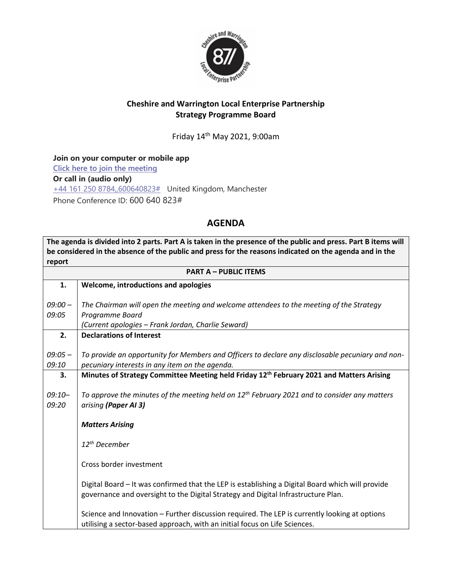

## **Cheshire and Warrington Local Enterprise Partnership Strategy Programme Board**

Friday 14 th May 2021, 9:00am

**Join on your computer or mobile app [Click here to join the meeting](https://teams.microsoft.com/l/meetup-join/19%3ameeting_YjJjYWY0YzMtYmU4OC00NDBjLWIwMzUtYWI2NDcwNjhhMDMz%40thread.v2/0?context=%7b%22Tid%22%3a%229fdc30f0-07e8-4ece-96e4-5daef8d479d1%22%2c%22Oid%22%3a%226c5251ba-0d3a-40c0-b933-9dcb03aa1bd1%22%7d) Or call in (audio only)** [+44 161 250 8784,,600640823#](tel:+441612508784,,600640823# ) United Kingdom, Manchester Phone Conference ID: 600 640 823#

## **AGENDA**

**The agenda is divided into 2 parts. Part A is taken in the presence of the public and press. Part B items will be considered in the absence of the public and press for the reasons indicated on the agenda and in the report**

| <b>PART A - PUBLIC ITEMS</b> |                                                                                                      |  |
|------------------------------|------------------------------------------------------------------------------------------------------|--|
| 1.                           | Welcome, introductions and apologies                                                                 |  |
|                              |                                                                                                      |  |
| $09:00 -$                    | The Chairman will open the meeting and welcome attendees to the meeting of the Strategy              |  |
| 09:05                        | Programme Board                                                                                      |  |
|                              | (Current apologies - Frank Jordan, Charlie Seward)                                                   |  |
| 2.                           | <b>Declarations of Interest</b>                                                                      |  |
| $09:05 -$                    | To provide an opportunity for Members and Officers to declare any disclosable pecuniary and non-     |  |
| 09:10                        | pecuniary interests in any item on the agenda.                                                       |  |
| 3.                           | Minutes of Strategy Committee Meeting held Friday 12 <sup>th</sup> February 2021 and Matters Arising |  |
|                              |                                                                                                      |  |
| $09:10-$                     | To approve the minutes of the meeting held on $12^{th}$ February 2021 and to consider any matters    |  |
| 09:20                        | arising (Paper AI 3)                                                                                 |  |
|                              |                                                                                                      |  |
|                              | <b>Matters Arising</b>                                                                               |  |
|                              |                                                                                                      |  |
|                              | 12 <sup>th</sup> December                                                                            |  |
|                              | Cross border investment                                                                              |  |
|                              |                                                                                                      |  |
|                              | Digital Board - It was confirmed that the LEP is establishing a Digital Board which will provide     |  |
|                              | governance and oversight to the Digital Strategy and Digital Infrastructure Plan.                    |  |
|                              |                                                                                                      |  |
|                              | Science and Innovation - Further discussion required. The LEP is currently looking at options        |  |
|                              | utilising a sector-based approach, with an initial focus on Life Sciences.                           |  |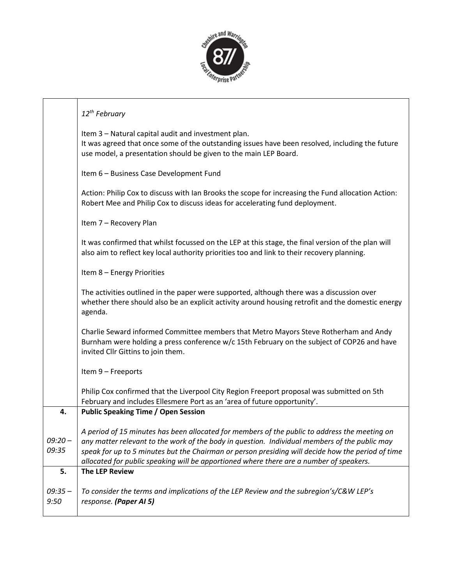

|                    | 12 <sup>th</sup> February                                                                                                                                                                                                                                                                                                                                                                      |
|--------------------|------------------------------------------------------------------------------------------------------------------------------------------------------------------------------------------------------------------------------------------------------------------------------------------------------------------------------------------------------------------------------------------------|
|                    | Item 3 - Natural capital audit and investment plan.<br>It was agreed that once some of the outstanding issues have been resolved, including the future<br>use model, a presentation should be given to the main LEP Board.                                                                                                                                                                     |
|                    | Item 6 - Business Case Development Fund                                                                                                                                                                                                                                                                                                                                                        |
|                    | Action: Philip Cox to discuss with Ian Brooks the scope for increasing the Fund allocation Action:<br>Robert Mee and Philip Cox to discuss ideas for accelerating fund deployment.                                                                                                                                                                                                             |
|                    | Item 7 - Recovery Plan                                                                                                                                                                                                                                                                                                                                                                         |
|                    | It was confirmed that whilst focussed on the LEP at this stage, the final version of the plan will<br>also aim to reflect key local authority priorities too and link to their recovery planning.                                                                                                                                                                                              |
|                    | Item 8 - Energy Priorities                                                                                                                                                                                                                                                                                                                                                                     |
|                    | The activities outlined in the paper were supported, although there was a discussion over<br>whether there should also be an explicit activity around housing retrofit and the domestic energy<br>agenda.                                                                                                                                                                                      |
|                    | Charlie Seward informed Committee members that Metro Mayors Steve Rotherham and Andy<br>Burnham were holding a press conference w/c 15th February on the subject of COP26 and have<br>invited Cllr Gittins to join them.                                                                                                                                                                       |
|                    | Item 9 - Freeports                                                                                                                                                                                                                                                                                                                                                                             |
|                    | Philip Cox confirmed that the Liverpool City Region Freeport proposal was submitted on 5th<br>February and includes Ellesmere Port as an 'area of future opportunity'.                                                                                                                                                                                                                         |
| 4.                 | <b>Public Speaking Time / Open Session</b>                                                                                                                                                                                                                                                                                                                                                     |
| $09:20 -$<br>09:35 | A period of 15 minutes has been allocated for members of the public to address the meeting on<br>any matter relevant to the work of the body in question. Individual members of the public may<br>speak for up to 5 minutes but the Chairman or person presiding will decide how the period of time<br>allocated for public speaking will be apportioned where there are a number of speakers. |
| 5.                 | <b>The LEP Review</b>                                                                                                                                                                                                                                                                                                                                                                          |
| $09:35 -$<br>9:50  | To consider the terms and implications of the LEP Review and the subregion's/C&W LEP's<br>response. (Paper AI 5)                                                                                                                                                                                                                                                                               |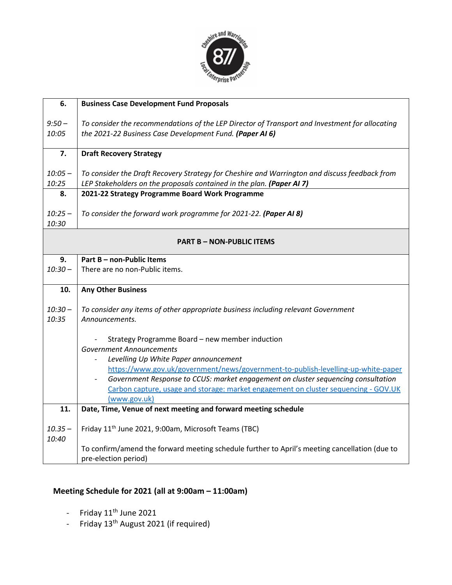

| 6.                               | <b>Business Case Development Fund Proposals</b>                                                                            |  |
|----------------------------------|----------------------------------------------------------------------------------------------------------------------------|--|
| $9:50 -$                         | To consider the recommendations of the LEP Director of Transport and Investment for allocating                             |  |
| 10:05                            | the 2021-22 Business Case Development Fund. (Paper AI 6)                                                                   |  |
|                                  |                                                                                                                            |  |
| 7.                               | <b>Draft Recovery Strategy</b>                                                                                             |  |
| $10:05 -$                        | To consider the Draft Recovery Strategy for Cheshire and Warrington and discuss feedback from                              |  |
| 10:25                            | LEP Stakeholders on the proposals contained in the plan. (Paper AI 7)                                                      |  |
| 8.                               | 2021-22 Strategy Programme Board Work Programme                                                                            |  |
|                                  |                                                                                                                            |  |
| $10:25 -$                        | To consider the forward work programme for 2021-22. (Paper AI 8)                                                           |  |
| 10:30                            |                                                                                                                            |  |
| <b>PART B - NON-PUBLIC ITEMS</b> |                                                                                                                            |  |
|                                  |                                                                                                                            |  |
| 9.<br>$10:30 -$                  | Part B - non-Public Items<br>There are no non-Public items.                                                                |  |
|                                  |                                                                                                                            |  |
| 10.                              | <b>Any Other Business</b>                                                                                                  |  |
| $10:30 -$                        | To consider any items of other appropriate business including relevant Government                                          |  |
| 10:35                            | Announcements.                                                                                                             |  |
|                                  |                                                                                                                            |  |
|                                  | Strategy Programme Board - new member induction                                                                            |  |
|                                  | <b>Government Announcements</b>                                                                                            |  |
|                                  | Levelling Up White Paper announcement<br>https://www.gov.uk/government/news/government-to-publish-levelling-up-white-paper |  |
|                                  | Government Response to CCUS: market engagement on cluster sequencing consultation                                          |  |
|                                  | Carbon capture, usage and storage: market engagement on cluster sequencing - GOV.UK                                        |  |
|                                  | (www.gov.uk)                                                                                                               |  |
| 11.                              | Date, Time, Venue of next meeting and forward meeting schedule                                                             |  |
| $10.35 -$<br>10:40               | Friday 11 <sup>th</sup> June 2021, 9:00am, Microsoft Teams (TBC)                                                           |  |
|                                  | To confirm/amend the forward meeting schedule further to April's meeting cancellation (due to<br>pre-election period)      |  |

## **Meeting Schedule for 2021 (all at 9:00am – 11:00am)**

- Friday  $11<sup>th</sup>$  June 2021
- Friday 13<sup>th</sup> August 2021 (if required)